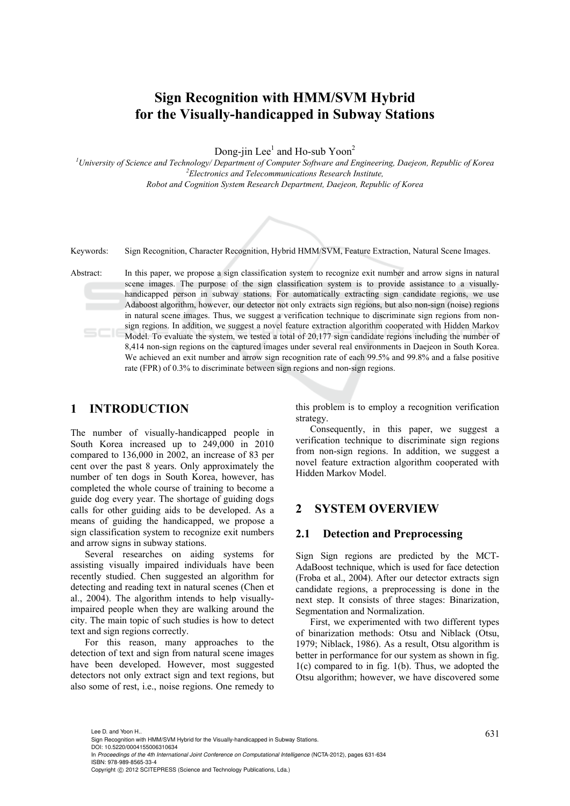# **Sign Recognition with HMM/SVM Hybrid for the Visually-handicapped in Subway Stations**

Dong-jin Lee<sup>1</sup> and Ho-sub Yoon<sup>2</sup>

<sup>1</sup><br>
<sup>2</sup> *University of Science and Technology/ Department of Computer Software and Engineering, Daejeon, Republic of Korea <sup>2</sup> Electronics and Telecommunications Research Institute, Robot and Cognition System Research Department, Daejeon, Republic of Korea* 



Keywords: Sign Recognition, Character Recognition, Hybrid HMM/SVM, Feature Extraction, Natural Scene Images.

Abstract: In this paper, we propose a sign classification system to recognize exit number and arrow signs in natural scene images. The purpose of the sign classification system is to provide assistance to a visuallyhandicapped person in subway stations. For automatically extracting sign candidate regions, we use Adaboost algorithm, however, our detector not only extracts sign regions, but also non-sign (noise) regions in natural scene images. Thus, we suggest a verification technique to discriminate sign regions from nonsign regions. In addition, we suggest a novel feature extraction algorithm cooperated with Hidden Markov Model. To evaluate the system, we tested a total of 20,177 sign candidate regions including the number of 8,414 non-sign regions on the captured images under several real environments in Daejeon in South Korea. We achieved an exit number and arrow sign recognition rate of each 99.5% and 99.8% and a false positive rate (FPR) of 0.3% to discriminate between sign regions and non-sign regions.

# **1 INTRODUCTION**

The number of visually-handicapped people in South Korea increased up to 249,000 in 2010 compared to 136,000 in 2002, an increase of 83 per cent over the past 8 years. Only approximately the number of ten dogs in South Korea, however, has completed the whole course of training to become a guide dog every year. The shortage of guiding dogs calls for other guiding aids to be developed. As a means of guiding the handicapped, we propose a sign classification system to recognize exit numbers and arrow signs in subway stations.

Several researches on aiding systems for assisting visually impaired individuals have been recently studied. Chen suggested an algorithm for detecting and reading text in natural scenes (Chen et al., 2004). The algorithm intends to help visuallyimpaired people when they are walking around the city. The main topic of such studies is how to detect text and sign regions correctly.

For this reason, many approaches to the detection of text and sign from natural scene images have been developed. However, most suggested detectors not only extract sign and text regions, but also some of rest, i.e., noise regions. One remedy to

this problem is to employ a recognition verification strategy.

Consequently, in this paper, we suggest a verification technique to discriminate sign regions from non-sign regions. In addition, we suggest a novel feature extraction algorithm cooperated with Hidden Markov Model.

# **2 SYSTEM OVERVIEW**

#### **2.1 Detection and Preprocessing**

Sign Sign regions are predicted by the MCT-AdaBoost technique, which is used for face detection (Froba et al., 2004). After our detector extracts sign candidate regions, a preprocessing is done in the next step. It consists of three stages: Binarization, Segmentation and Normalization.

First, we experimented with two different types of binarization methods: Otsu and Niblack (Otsu, 1979; Niblack, 1986). As a result, Otsu algorithm is better in performance for our system as shown in fig. 1(c) compared to in fig. 1(b). Thus, we adopted the Otsu algorithm; however, we have discovered some

Lee D. and Yoon H..<br>Sign Recognition with HMM/SVM Hybrid for the Visually-handicapped in Subway Stations. DOI: 10.5220/0004155006310634

In *Proceedings of the 4th International Joint Conference on Computational Intelligence* (NCTA-2012), pages 631-634 ISBN: 978-989-8565-33-4

Copyright © 2012 SCITEPRESS (Science and Technology Publications, Lda.)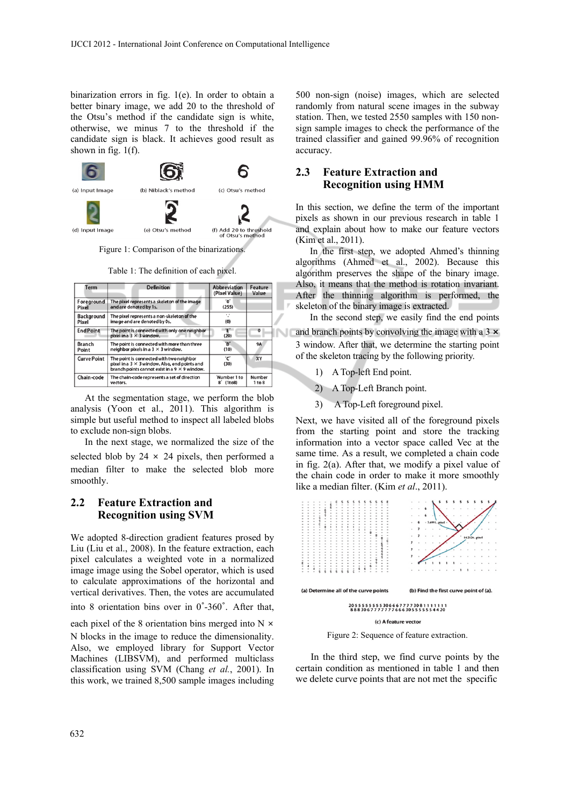binarization errors in fig. 1(e). In order to obtain a better binary image, we add 20 to the threshold of the Otsu's method if the candidate sign is white, otherwise, we minus 7 to the threshold if the candidate sign is black. It achieves good result as shown in fig.  $1(f)$ .



Figure 1: Comparison of the binarizations.

Table 1: The definition of each pixel.

| Term                   | <b>Definition</b>                                                                                                                                        | <b>Abbreviation</b><br>(Pixel Value) | Feature<br>Value |
|------------------------|----------------------------------------------------------------------------------------------------------------------------------------------------------|--------------------------------------|------------------|
| Foreground<br>Pixel    | The pixel represents a skeleton of the image<br>and are denoted by 1s.                                                                                   | ʹΟ΄<br>(255)                         |                  |
| Background<br>Pixel    | The pixel represents a non-skeleton of the<br>image and are denoted by 0s.                                                                               | ٠,<br>(0)                            |                  |
| <b>EndPoint</b>        | The point is connected with only one neighbor<br>pixel in a $3 \times 3$ window.                                                                         | Έ΄<br>(20)                           | $\mathbf{o}$     |
| <b>Branch</b><br>Point | The point is connected with more than three<br>neighbor pixels in a $3 \times 3$ window.                                                                 | B'<br>(10)                           | <b>9A</b>        |
| <b>Curve Point</b>     | The point is connected with two neighbor<br>pixel in a $3 \times 3$ window. Also, end points and<br>branch points cannot exist in a $9 \times 9$ window. | 'C'<br>(30)                          | XY               |
| Chain-code             | The chain-code represents a set of direction<br>vectors.                                                                                                 | 'Number 1 to<br>8<br>(1to8)          | Number<br>1 to 8 |

At the segmentation stage, we perform the blob analysis (Yoon et al., 2011). This algorithm is simple but useful method to inspect all labeled blobs to exclude non-sign blobs.

In the next stage, we normalized the size of the selected blob by  $24 \times 24$  pixels, then performed a median filter to make the selected blob more smoothly.

# **2.2 Feature Extraction and Recognition using SVM**

We adopted 8-direction gradient features prosed by Liu (Liu et al., 2008). In the feature extraction, each pixel calculates a weighted vote in a normalized image image using the Sobel operator, which is used to calculate approximations of the horizontal and vertical derivatives. Then, the votes are accumulated into 8 orientation bins over in 0˚-360˚. After that, each pixel of the 8 orientation bins merged into N  $\times$ N blocks in the image to reduce the dimensionality.

Also, we employed library for Support Vector Machines (LIBSVM), and performed multiclass classification using SVM (Chang *et al.*, 2001). In this work, we trained 8,500 sample images including

500 non-sign (noise) images, which are selected randomly from natural scene images in the subway station. Then, we tested 2550 samples with 150 nonsign sample images to check the performance of the trained classifier and gained 99.96% of recognition accuracy.

# **2.3 Feature Extraction and Recognition using HMM**

In this section, we define the term of the important pixels as shown in our previous research in table 1 and explain about how to make our feature vectors (Kim et al., 2011).

In the first step, we adopted Ahmed's thinning algorithms (Ahmed et al., 2002). Because this algorithm preserves the shape of the binary image. Also, it means that the method is rotation invariant. After the thinning algorithm is performed, the skeleton of the binary image is extracted.

In the second step, we easily find the end points and branch points by convolving the image with a 3  $\times$ 3 window. After that, we determine the starting point of the skeleton tracing by the following priority.

- 1) A Top-left End point.
- 2) A Top-Left Branch point.
- 3) A Top-Left foreground pixel.

Next, we have visited all of the foreground pixels from the starting point and store the tracking information into a vector space called Vec at the same time. As a result, we completed a chain code in fig. 2(a). After that, we modify a pixel value of the chain code in order to make it more smoothly like a median filter. (Kim *et al*., 2011).



Figure 2: Sequence of feature extraction.

In the third step, we find curve points by the certain condition as mentioned in table 1 and then we delete curve points that are not met the specific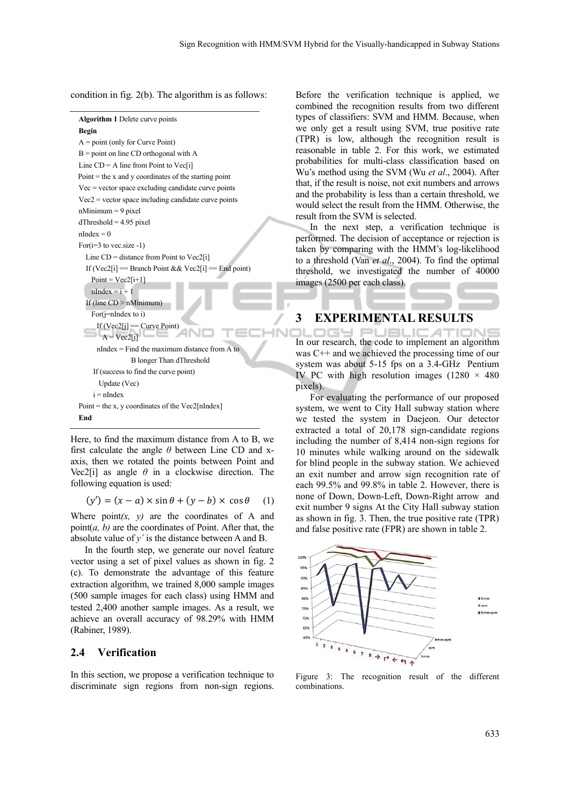condition in fig. 2(b). The algorithm is as follows:

| <b>Algorithm 1</b> Delete curve points                  |  |  |  |  |  |
|---------------------------------------------------------|--|--|--|--|--|
| <b>Begin</b>                                            |  |  |  |  |  |
| $A = point (only for Curve Point)$                      |  |  |  |  |  |
| $B =$ point on line CD orthogonal with A                |  |  |  |  |  |
| Line $CD = A$ line from Point to Vec[i]                 |  |  |  |  |  |
| Point $=$ the x and y coordinates of the starting point |  |  |  |  |  |
| $Vec$ = vector space excluding candidate curve points   |  |  |  |  |  |
| $Vec2$ = vector space including candidate curve points  |  |  |  |  |  |
| $n$ Minimum = 9 pixel                                   |  |  |  |  |  |
| $dThreshold = 4.95 pixel$                               |  |  |  |  |  |
| $nIndex = 0$                                            |  |  |  |  |  |
| For $(i=3$ to vec.size -1)                              |  |  |  |  |  |
| Line $CD = distance from Point to Vec2[i]$              |  |  |  |  |  |
| If (Vec2[i] = Branch Point && Vec2[i] = End point)      |  |  |  |  |  |
| $Point = Vec2[i+1]$                                     |  |  |  |  |  |
| $nIndex = i + 1$                                        |  |  |  |  |  |
| If (line $CD > n$ Minimum)                              |  |  |  |  |  |
| For $(i=$ nIndex to i)                                  |  |  |  |  |  |
| If $(Vec2[i] == Curve Point)$<br>$A = Vec2[i]$          |  |  |  |  |  |
| $nIndex = Find the maximum distance from A to$          |  |  |  |  |  |
| B longer Than dThreshold                                |  |  |  |  |  |
| If (success to find the curve point)                    |  |  |  |  |  |
| Update (Vec)                                            |  |  |  |  |  |
| $i = nIndex$                                            |  |  |  |  |  |
| Point = the x, y coordinates of the Vec2[nIndex]        |  |  |  |  |  |
| End                                                     |  |  |  |  |  |
|                                                         |  |  |  |  |  |

Here, to find the maximum distance from A to B, we first calculate the angle *θ* between Line CD and xaxis, then we rotated the points between Point and Vec2[i] as angle  $\theta$  in a clockwise direction. The following equation is used:

 $(y') = (x - a) \times \sin \theta + (y - b) \times \cos \theta$  (1)

Where  $point(x, y)$  are the coordinates of A and point(*a, b)* are the coordinates of Point. After that, the absolute value of *y´* is the distance between A and B.

In the fourth step, we generate our novel feature vector using a set of pixel values as shown in fig. 2 (c). To demonstrate the advantage of this feature extraction algorithm, we trained 8,000 sample images (500 sample images for each class) using HMM and tested 2,400 another sample images. As a result, we achieve an overall accuracy of 98.29% with HMM (Rabiner, 1989).

#### **2.4 Verification**

In this section, we propose a verification technique to discriminate sign regions from non-sign regions.

Before the verification technique is applied, we combined the recognition results from two different types of classifiers: SVM and HMM. Because, when we only get a result using SVM, true positive rate (TPR) is low, although the recognition result is reasonable in table 2. For this work, we estimated probabilities for multi-class classification based on Wu's method using the SVM (Wu *et al*., 2004). After that, if the result is noise, not exit numbers and arrows and the probability is less than a certain threshold, we would select the result from the HMM. Otherwise, the result from the SVM is selected.

In the next step, a verification technique is performed. The decision of acceptance or rejection is taken by comparing with the HMM's log-likelihood to a threshold (Van *et al*., 2004). To find the optimal threshold, we investigated the number of 40000 images (2500 per each class).

#### **3 EXPERIMENTAL RESULTS**

In our research, the code to implement an algorithm OGY PUBLIC was C++ and we achieved the processing time of our system was about 5-15 fps on a 3.4-GHz Pentium IV PC with high resolution images  $(1280 \times 480)$ pixels).

For evaluating the performance of our proposed system, we went to City Hall subway station where we tested the system in Daejeon. Our detector extracted a total of 20,178 sign-candidate regions including the number of 8,414 non-sign regions for 10 minutes while walking around on the sidewalk for blind people in the subway station. We achieved an exit number and arrow sign recognition rate of each 99.5% and 99.8% in table 2. However, there is none of Down, Down-Left, Down-Right arrow and exit number 9 signs At the City Hall subway station as shown in fig. 3. Then, the true positive rate (TPR) and false positive rate (FPR) are shown in table 2.



Figure 3: The recognition result of the different combinations.